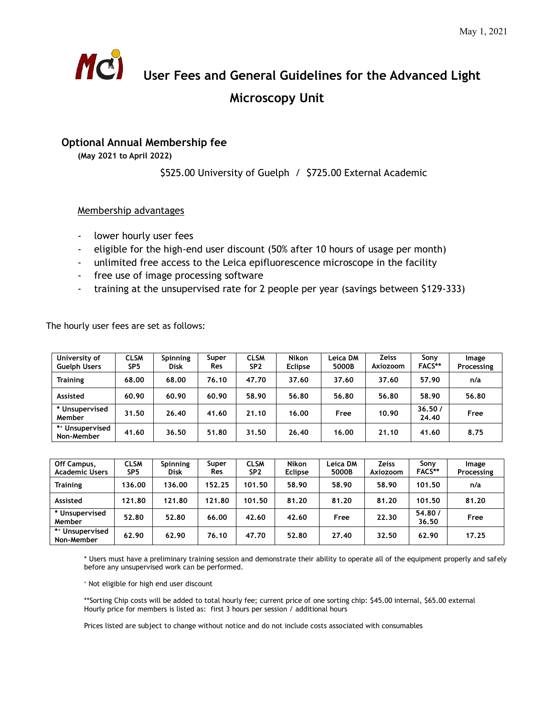

## **User Fees and General Guidelines for the Advanced Light Microscopy Unit**

## **Optional Annual Membership fee**

**(May 2021 to April 2022)**

\$525.00 University of Guelph / \$725.00 External Academic

## Membership advantages

- lower hourly user fees
- eligible for the high-end user discount (50% after 10 hours of usage per month)
- unlimited free access to the Leica epifluorescence microscope in the facility
- free use of image processing software
- training at the unsupervised rate for 2 people per year (savings between \$129-333)

The hourly user fees are set as follows:

| University of<br><b>Guelph Users</b> | <b>CLSM</b><br>SP <sub>5</sub> | <b>Spinning</b><br><b>Disk</b> | Super<br>Res | <b>CLSM</b><br>SP <sub>2</sub> | <b>Nikon</b><br><b>Eclipse</b> | Leica DM<br>5000B | Zeiss<br>Axiozoom | Sony<br><b>FACS**</b> | Image<br>Processing |
|--------------------------------------|--------------------------------|--------------------------------|--------------|--------------------------------|--------------------------------|-------------------|-------------------|-----------------------|---------------------|
| <b>Training</b>                      | 68.00                          | 68.00                          | 76.10        | 47.70                          | 37.60                          | 37.60             | 37.60             | 57.90                 | n/a                 |
| Assisted                             | 60.90                          | 60.90                          | 60.90        | 58.90                          | 56.80                          | 56.80             | 56.80             | 58.90                 | 56.80               |
| * Unsupervised<br>Member             | 31.50                          | 26.40                          | 41.60        | 21.10                          | 16.00                          | Free              | 10.90             | 36.50/<br>24.40       | Free                |
| ** Unsupervised<br>Non-Member        | 41.60                          | 36.50                          | 51.80        | 31.50                          | 26.40                          | 16.00             | 21.10             | 41.60                 | 8.75                |

| Off Campus,<br><b>Academic Users</b> | <b>CLSM</b><br>SP5 | <b>Spinning</b><br><b>Disk</b> | Super<br>Res | <b>CLSM</b><br>SP <sub>2</sub> | <b>Nikon</b><br><b>Eclipse</b> | Leica DM<br>5000B | <b>Zeiss</b><br>Axiozoom | Sony<br><b>FACS**</b> | Image<br>Processing |
|--------------------------------------|--------------------|--------------------------------|--------------|--------------------------------|--------------------------------|-------------------|--------------------------|-----------------------|---------------------|
| <b>Training</b>                      | 136.00             | 136.00                         | 152.25       | 101.50                         | 58.90                          | 58.90             | 58.90                    | 101.50                | n/a                 |
| Assisted                             | 121.80             | 121.80                         | 121.80       | 101.50                         | 81.20                          | 81.20             | 81.20                    | 101.50                | 81.20               |
| * Unsupervised<br>Member             | 52.80              | 52.80                          | 66.00        | 42.60                          | 42.60                          | Free              | 22.30                    | 54.80/<br>36.50       | Free                |
| ** Unsupervised<br>Non-Member        | 62.90              | 62.90                          | 76.10        | 47.70                          | 52.80                          | 27.40             | 32.50                    | 62.90                 | 17.25               |

\* Users must have a preliminary training session and demonstrate their ability to operate all of the equipment properly and safely before any unsupervised work can be performed.

<sup>+</sup> Not eligible for high end user discount

\*\*Sorting Chip costs will be added to total hourly fee; current price of one sorting chip: \$45.00 internal, \$65.00 external Hourly price for members is listed as: first 3 hours per session / additional hours

Prices listed are subject to change without notice and do not include costs associated with consumables